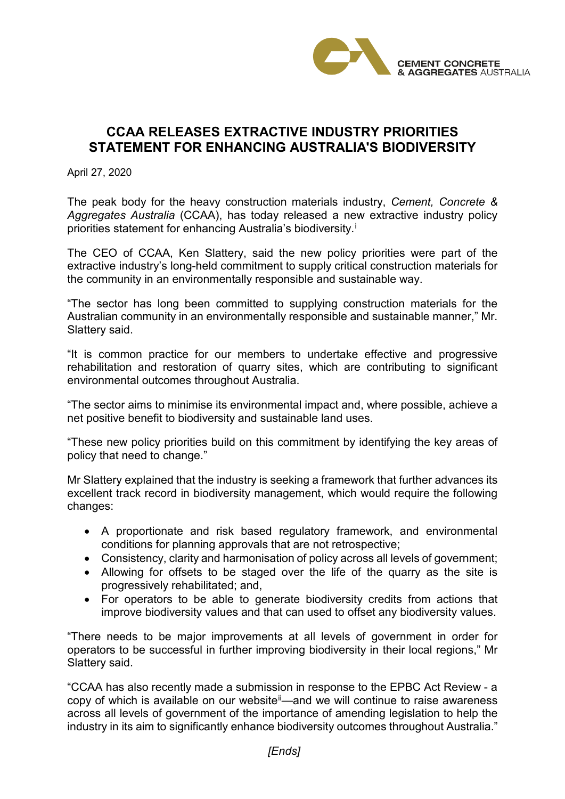

## **CCAA RELEASES EXTRACTIVE INDUSTRY PRIORITIES STATEMENT FOR ENHANCING AUSTRALIA'S BIODIVERSITY**

April 27, 2020

The peak body for the heavy construction materials industry, *Cement, Concrete & Aggregates Australia* (CCAA), has today released a new extractive industry policy priorities statement for enhancing Australia's biodiversity.[i](#page-1-0)

The CEO of CCAA, Ken Slattery, said the new policy priorities were part of the extractive industry's long-held commitment to supply critical construction materials for the community in an environmentally responsible and sustainable way.

"The sector has long been committed to supplying construction materials for the Australian community in an environmentally responsible and sustainable manner," Mr. Slattery said.

"It is common practice for our members to undertake effective and progressive rehabilitation and restoration of quarry sites, which are contributing to significant environmental outcomes throughout Australia.

"The sector aims to minimise its environmental impact and, where possible, achieve a net positive benefit to biodiversity and sustainable land uses.

"These new policy priorities build on this commitment by identifying the key areas of policy that need to change."

Mr Slattery explained that the industry is seeking a framework that further advances its excellent track record in biodiversity management, which would require the following changes:

- A proportionate and risk based regulatory framework, and environmental conditions for planning approvals that are not retrospective;
- Consistency, clarity and harmonisation of policy across all levels of government;
- Allowing for offsets to be staged over the life of the quarry as the site is progressively rehabilitated; and,
- For operators to be able to generate biodiversity credits from actions that improve biodiversity values and that can used to offset any biodiversity values.

"There needs to be major improvements at all levels of government in order for operators to be successful in further improving biodiversity in their local regions," Mr Slattery said.

"CCAA has also recently made a submission in response to the EPBC Act Review - a copy of which is available on our website<sup>[ii](#page-1-1)</sup>—and we will continue to raise awareness across all levels of government of the importance of amending legislation to help the industry in its aim to significantly enhance biodiversity outcomes throughout Australia."